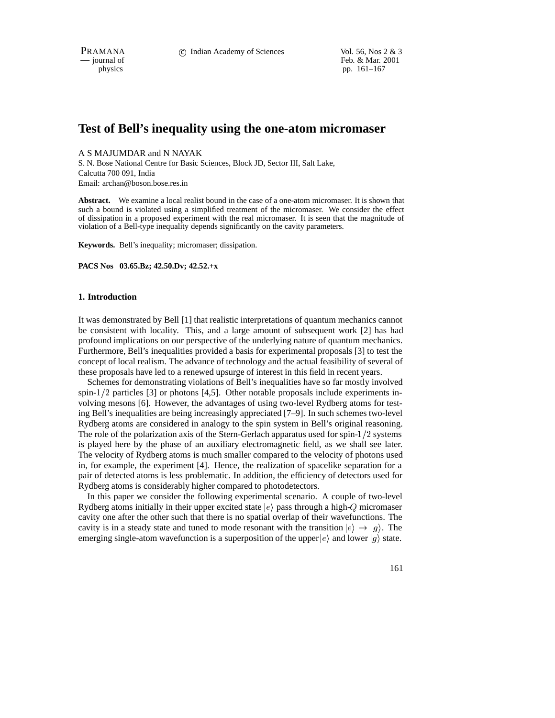PRAMANA 
<sup>c</sup> Indian Academy of Sciences Vol. 56, Nos 2 & 3<br>  $-$  journal of Feb. & Mar. 2001 Feb. & Mar. 2001 physics pp. 161–167

# **Test of Bell's inequality using the one-atom micromaser**

A S MAJUMDAR and N NAYAK

S. N. Bose National Centre for Basic Sciences, Block JD, Sector III, Salt Lake, Calcutta 700 091, India Email: archan@boson.bose.res.in

**Abstract.** We examine a local realist bound in the case of a one-atom micromaser. It is shown that such a bound is violated using a simplified treatment of the micromaser. We consider the effect of dissipation in a proposed experiment with the real micromaser. It is seen that the magnitude of violation of a Bell-type inequality depends significantly on the cavity parameters.

**Keywords.** Bell's inequality; micromaser; dissipation.

**PACS Nos 03.65.Bz; 42.50.Dv; 42.52.+x**

## **1. Introduction**

It was demonstrated by Bell [1] that realistic interpretations of quantum mechanics cannot be consistent with locality. This, and a large amount of subsequent work [2] has had profound implications on our perspective of the underlying nature of quantum mechanics. Furthermore, Bell's inequalities provided a basis for experimental proposals [3] to test the concept of local realism. The advance of technology and the actual feasibility of several of these proposals have led to a renewed upsurge of interest in this field in recent years.

Schemes for demonstrating violations of Bell's inequalities have so far mostly involved spin- $1/2$  particles [3] or photons [4,5]. Other notable proposals include experiments involving mesons [6]. However, the advantages of using two-level Rydberg atoms for testing Bell's inequalities are being increasingly appreciated [7–9]. In such schemes two-level Rydberg atoms are considered in analogy to the spin system in Bell's original reasoning. The role of the polarization axis of the Stern-Gerlach apparatus used for spin- $1/2$  systems is played here by the phase of an auxiliary electromagnetic field, as we shall see later. The velocity of Rydberg atoms is much smaller compared to the velocity of photons used in, for example, the experiment [4]. Hence, the realization of spacelike separation for a pair of detected atoms is less problematic. In addition, the efficiency of detectors used for Rydberg atoms is considerably higher compared to photodetectors.

In this paper we consider the following experimental scenario. A couple of two-level Rydberg atoms initially in their upper excited state  $|e\rangle$  pass through a high-Q micromaser cavity one after the other such that there is no spatial overlap of their wavefunctions. The cavity is in a steady state and tuned to mode resonant with the transition  $|e\rangle \rightarrow |g\rangle$ . The emerging single-atom wavefunction is a superposition of the upper  $|e\rangle$  and lower  $|g\rangle$  state.

161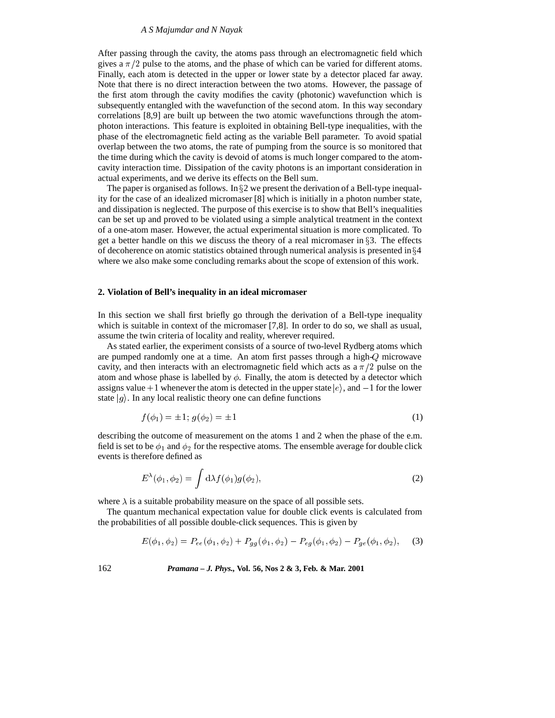#### *A S Majumdar and N Nayak*

After passing through the cavity, the atoms pass through an electromagnetic field which gives a  $\pi/2$  pulse to the atoms, and the phase of which can be varied for different atoms. Finally, each atom is detected in the upper or lower state by a detector placed far away. Note that there is no direct interaction between the two atoms. However, the passage of the first atom through the cavity modifies the cavity (photonic) wavefunction which is subsequently entangled with the wavefunction of the second atom. In this way secondary correlations [8,9] are built up between the two atomic wavefunctions through the atomphoton interactions. This feature is exploited in obtaining Bell-type inequalities, with the phase of the electromagnetic field acting as the variable Bell parameter. To avoid spatial overlap between the two atoms, the rate of pumping from the source is so monitored that the time during which the cavity is devoid of atoms is much longer compared to the atomcavity interaction time. Dissipation of the cavity photons is an important consideration in actual experiments, and we derive its effects on the Bell sum.

The paper is organised as follows. In  $\S2$  we present the derivation of a Bell-type inequality for the case of an idealized micromaser [8] which is initially in a photon number state, and dissipation is neglected. The purpose of this exercise is to show that Bell's inequalities can be set up and proved to be violated using a simple analytical treatment in the context of a one-atom maser. However, the actual experimental situation is more complicated. To get a better handle on this we discuss the theory of a real micromaser in  $\S$ 3. The effects of decoherence on atomic statistics obtained through numerical analysis is presented in  $\S 4$ where we also make some concluding remarks about the scope of extension of this work.

#### **2. Violation of Bell's inequality in an ideal micromaser**

In this section we shall first briefly go through the derivation of a Bell-type inequality which is suitable in context of the micromaser [7,8]. In order to do so, we shall as usual, assume the twin criteria of locality and reality, wherever required.

As stated earlier, the experiment consists of a source of two-level Rydberg atoms which are pumped randomly one at a time. An atom first passes through a high-Q microwave cavity, and then interacts with an electromagnetic field which acts as a  $\pi/2$  pulse on the atom and whose phase is labelled by  $\phi$ . Finally, the atom is detected by a detector which assigns value  $+1$  whenever the atom is detected in the upper state  $|e\rangle$ , and  $-1$  for the lower state  $|g\rangle$ . In any local realistic theory one can define functions

$$
f(\phi_1) = \pm 1; \ g(\phi_2) = \pm 1 \tag{1}
$$

describing the outcome of measurement on the atoms 1 and 2 when the phase of the e.m. field is set to be  $\phi_1$  and  $\phi_2$  for the respective atoms. The ensemble average for double click events is therefore defined as

$$
E^{\lambda}(\phi_1, \phi_2) = \int d\lambda f(\phi_1) g(\phi_2), \qquad (2)
$$

where  $\lambda$  is a suitable probability measure on the space of all possible sets.

The quantum mechanical expectation value for double click events is calculated from the probabilities of all possible double-click sequences. This is given by

$$
E(\phi_1, \phi_2) = P_{ee}(\phi_1, \phi_2) + P_{gg}(\phi_1, \phi_2) - P_{eg}(\phi_1, \phi_2) - P_{ge}(\phi_1, \phi_2), \tag{3}
$$

162 *Pramana – J. Phys.,* **Vol. 56, Nos 2 & 3, Feb. & Mar. 2001**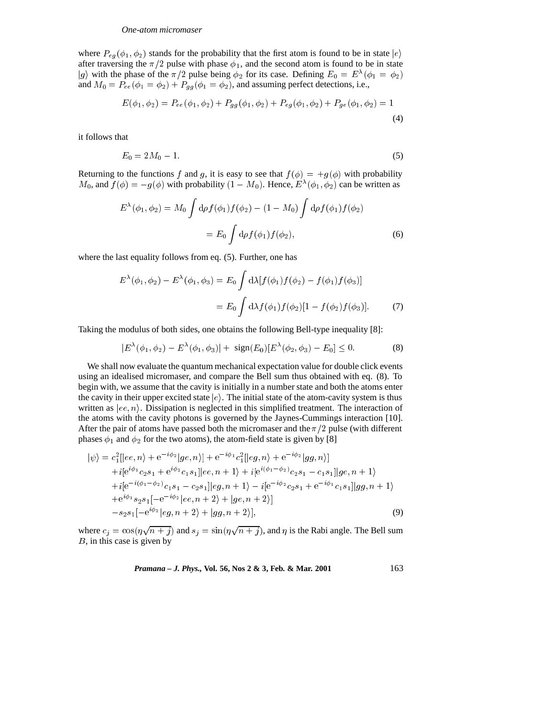where  $P_{eg}(\phi_1, \phi_2)$  stands for the probability that the first atom is found to be in state  $|e\rangle$ after traversing the  $\pi/2$  pulse with phase  $\phi_1$ , and the second atom is found to be in state  $|g\rangle$  with the phase of the  $\pi/2$  pulse being  $\phi_2$  for its case. Defining  $E_0 = E^{\lambda}(\phi_1 = \phi_2)$ and  $M_0 = P_{ee}(\phi_1 = \phi_2) + P_{qq}(\phi_1 = \phi_2)$ , and assuming perfect detections, i.e.,

$$
E(\phi_1, \phi_2) = P_{ee}(\phi_1, \phi_2) + P_{gg}(\phi_1, \phi_2) + P_{eg}(\phi_1, \phi_2) + P_{ge}(\phi_1, \phi_2) = 1
$$
\n(4)

it follows that

$$
E_0 = 2M_0 - 1.\t\t(5)
$$

Returning to the functions f and g, it is easy to see that  $f(\phi) = +g(\phi)$  with probability  $M_0$ , and  $f(\phi) = -g(\phi)$  with probability  $(1 - M_0)$ . Hence,  $E^{\lambda}(\phi_1, \phi_2)$  can be written as

$$
E^{\lambda}(\phi_1, \phi_2) = M_0 \int d\rho f(\phi_1) f(\phi_2) - (1 - M_0) \int d\rho f(\phi_1) f(\phi_2)
$$
  
=  $E_0 \int d\rho f(\phi_1) f(\phi_2),$  (6)

where the last equality follows from eq. (5). Further, one has

$$
E^{\lambda}(\phi_1, \phi_2) - E^{\lambda}(\phi_1, \phi_3) = E_0 \int d\lambda [f(\phi_1) f(\phi_2) - f(\phi_1) f(\phi_3)]
$$
  
= 
$$
E_0 \int d\lambda f(\phi_1) f(\phi_2) [1 - f(\phi_2) f(\phi_3)].
$$
 (7)

Taking the modulus of both sides, one obtains the following Bell-type inequality [8]:

$$
|E^{\lambda}(\phi_1, \phi_2) - E^{\lambda}(\phi_1, \phi_3)| + \text{sign}(E_0)[E^{\lambda}(\phi_2, \phi_3) - E_0] \le 0.
$$
 (8)

We shall now evaluate the quantum mechanical expectation value for double click events using an idealised micromaser, and compare the Bell sum thus obtained with eq. (8). To begin with, we assume that the cavity is initially in a number state and both the atoms enter the cavity in their upper excited state  $|e\rangle$ . The initial state of the atom-cavity system is thus written as  $|ee, n\rangle$ . Dissipation is neglected in this simplified treatment. The interaction of the atoms with the cavity photons is governed by the Jaynes-Cummings interaction [10]. After the pair of atoms have passed both the micromaser and the  $\pi/2$  pulse (with different phases  $\phi_1$  and  $\phi_2$  for the two atoms), the atom-field state is given by [8]

$$
|\psi\rangle = c_1^2[|ee, n\rangle + e^{-i\phi_2}|ge, n\rangle] + e^{-i\phi_1}c_1^2[|eg, n\rangle + e^{-i\phi_2}|gg, n\rangle] + i[e^{i\phi_1}c_2s_1 + e^{i\phi_2}c_1s_1]|ee, n+1\rangle + i[e^{i(\phi_1-\phi_2)}c_2s_1 - c_1s_1]|ge, n+1\rangle + i[e^{-i(\phi_1-\phi_2)}c_1s_1 - c_2s_1]|eg, n+1\rangle - i[e^{-i\phi_2}c_2s_1 + e^{-i\phi_1}c_1s_1]|gg, n+1\rangle + e^{i\phi_1}s_2s_1[-e^{-i\phi_2}|ee, n+2\rangle + |ge, n+2\rangle] - s_2s_1[-e^{i\phi_2}|eg, n+2\rangle + |gg, n+2\rangle],
$$
\n(9)

where  $c_j = \cos(\eta \sqrt{n+j})$  and  $s_j = \sin(\eta \sqrt{n+j})$ , and  $\eta$  is the Rabi angle. The Bell sum B, in this case is given by

*Pramana – J. Phys.,* **Vol. 56, Nos 2 & 3, Feb. & Mar. 2001** 163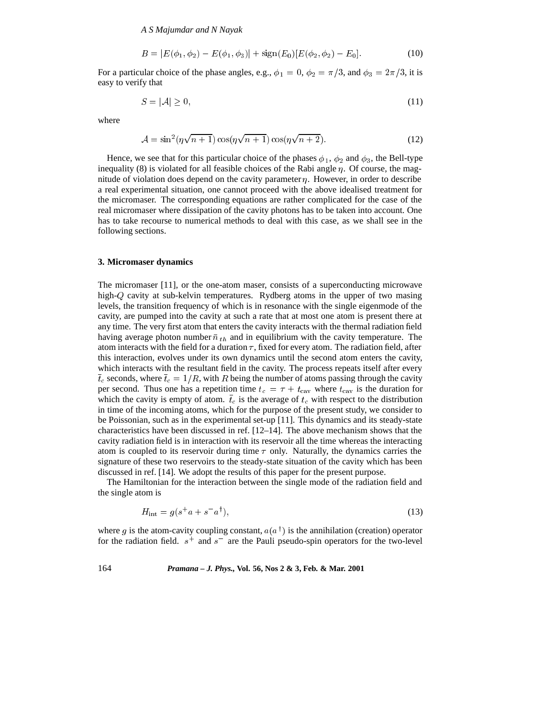*A S Majumdar and N Nayak*

$$
B = |E(\phi_1, \phi_2) - E(\phi_1, \phi_3)| + sign(E_0)[E(\phi_2, \phi_2) - E_0].
$$
\n(10)

For a particular choice of the phase angles, e.g.,  $\phi_1 = 0$ ,  $\phi_2 = \pi/3$ , and  $\phi_3 = 2\pi/3$ , it is easy to verify that

$$
S = |\mathcal{A}| \ge 0,\tag{11}
$$

where

$$
\mathcal{A} = \sin^2(\eta \sqrt{n+1}) \cos(\eta \sqrt{n+1}) \cos(\eta \sqrt{n+2}).\tag{12}
$$

Hence, we see that for this particular choice of the phases  $\phi_1$ ,  $\phi_2$  and  $\phi_3$ , the Bell-type inequality (8) is violated for all feasible choices of the Rabi angle  $\eta$ . Of course, the magnitude of violation does depend on the cavity parameter  $\eta$ . However, in order to describe a real experimental situation, one cannot proceed with the above idealised treatment for the micromaser. The corresponding equations are rather complicated for the case of the real micromaser where dissipation of the cavity photons has to be taken into account. One has to take recourse to numerical methods to deal with this case, as we shall see in the following sections.

#### **3. Micromaser dynamics**

The micromaser [11], or the one-atom maser, consists of a superconducting microwave high-Q cavity at sub-kelvin temperatures. Rydberg atoms in the upper of two masing levels, the transition frequency of which is in resonance with the single eigenmode of the cavity, are pumped into the cavity at such a rate that at most one atom is present there at any time. The very first atom that enters the cavity interacts with the thermal radiation field having average photon number  $\bar{n}_{th}$  and in equilibrium with the cavity temperature. The atom interacts with the field for a duration  $\tau$ , fixed for every atom. The radiation field, after this interaction, evolves under its own dynamics until the second atom enters the cavity, which interacts with the resultant field in the cavity. The process repeats itself after every  $\bar{t}_c$  seconds, where  $\bar{t}_c = 1/R$ , with R being the number of atoms passing through the cavity per second. Thus one has a repetition time  $t_c = \tau + t_{\text{cav}}$  where  $t_{\text{cav}}$  is the duration for which the cavity is empty of atom.  $\bar{t}_c$  is the average of  $t_c$  with respect to the distribution in time of the incoming atoms, which for the purpose of the present study, we consider to be Poissonian, such as in the experimental set-up [11]. This dynamics and its steady-state characteristics have been discussed in ref. [12–14]. The above mechanism shows that the cavity radiation field is in interaction with its reservoir all the time whereas the interacting atom is coupled to its reservoir during time  $\tau$  only. Naturally, the dynamics carries the signature of these two reservoirs to the steady-state situation of the cavity which has been discussed in ref. [14]. We adopt the results of this paper for the present purpose.

The Hamiltonian for the interaction between the single mode of the radiation field and the single atom is

$$
H_{\text{int}} = g(s^+a + s^-a^\dagger),\tag{13}
$$

where g is the atom-cavity coupling constant,  $a(a^{\dagger})$  is the annihilation (creation) operator for the radiation field.  $s^+$  and  $s^-$  are the Pauli pseudo-spin operators for the two-level

164 *Pramana – J. Phys.,* **Vol. 56, Nos 2 & 3, Feb. & Mar. 2001**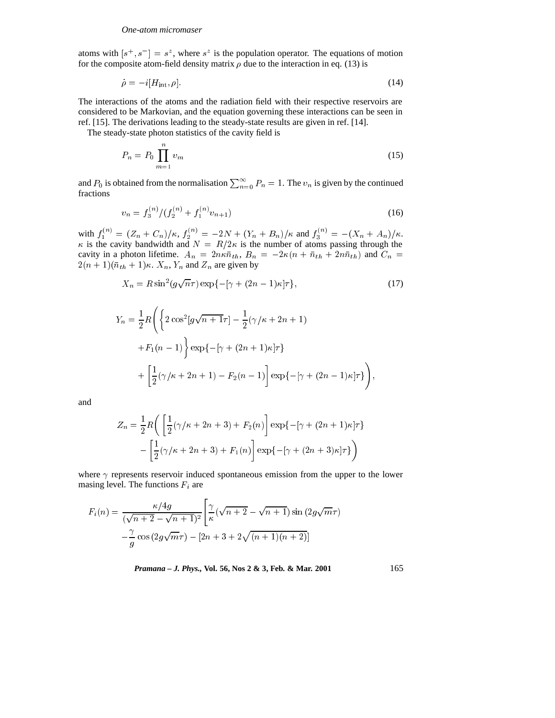#### *One-atom micromaser*

atoms with  $[s^+, s^-] = s^z$ , where  $s^z$  is the population operator. The equations of motion for the composite atom-field density matrix  $\rho$  due to the interaction in eq. (13) is

$$
\dot{\rho} = -i[H_{\rm int}, \rho].\tag{14}
$$

The interactions of the atoms and the radiation field with their respective reservoirs are considered to be Markovian, and the equation governing these interactions can be seen in ref. [15]. The derivations leading to the steady-state results are given in ref. [14].

The steady-state photon statistics of the cavity field is

$$
P_n = P_0 \prod_{m=1}^n v_m \tag{15}
$$

and  $P_0$  is obtained from the normalisation  $\sum_{n=0}^{\infty} P_n = 1$ . The  $v_n$  is given by the continued fractions

$$
v_n = f_3^{(n)} / (f_2^{(n)} + f_1^{(n)} v_{n+1})
$$
\n(16)

with  $f_1^{(n)} = (Z_n + C_n)/\kappa$ ,  $f_2^{(n)} = -2N + (Y_n + B_n)/\kappa$  and  $f_3^{(n)} = -(X_n + A_n)/\kappa$ .  $\kappa$  is the cavity bandwidth and  $N = R/2\kappa$  is the number of atoms passing through the cavity in a photon lifetime.  $A_n = 2n\kappa\bar{n}_{th}$ ,  $B_n = -2\kappa(n + \bar{n}_{th} + 2n\bar{n}_{th})$  and  $C_n =$  $2(n+1)(\overline{n}_{th}+1)\kappa$ .  $X_n, Y_n$  and  $Z_n$  are given by

$$
X_n = R\sin^2(g\sqrt{n}\tau)\exp\{-\left[\gamma + (2n-1)\kappa\right]\tau\},\tag{17}
$$

$$
Y_n = \frac{1}{2} R \left( \left\{ 2 \cos^2[g\sqrt{n+1}\tau] - \frac{1}{2} (\gamma/\kappa + 2n + 1) + F_1(n-1) \right\} \exp\{-[\gamma + (2n+1)\kappa]\tau \} + \left[ \frac{1}{2} (\gamma/\kappa + 2n + 1) - F_2(n-1) \right] \exp\{-[\gamma + (2n-1)\kappa]\tau \} \right),
$$

and

$$
Z_n = \frac{1}{2}R\left(\left[\frac{1}{2}(\gamma/\kappa + 2n + 3) + F_2(n)\right] \exp\{-[\gamma + (2n + 1)\kappa]\tau\} - \left[\frac{1}{2}(\gamma/\kappa + 2n + 3) + F_1(n)\right] \exp\{-[\gamma + (2n + 3)\kappa]\tau\}\right)
$$

where  $\gamma$  represents reservoir induced spontaneous emission from the upper to the lower masing level. The functions  $F_i$  are

$$
F_i(n) = \frac{\kappa/4g}{(\sqrt{n+2} - \sqrt{n+1})^2} \left[ \frac{\gamma}{\kappa} (\sqrt{n+2} - \sqrt{n+1}) \sin(2g\sqrt{m}\tau) - \frac{\gamma}{g} \cos(2g\sqrt{m}\tau) - [2n+3+2\sqrt{(n+1)(n+2)}] \right]
$$

*Pramana – J. Phys.,* **Vol. 56, Nos 2 & 3, Feb. & Mar. 2001** 165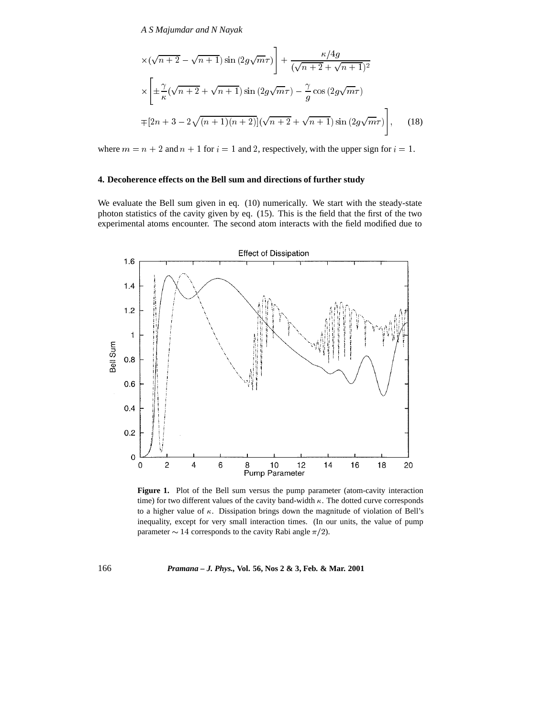*A S Majumdar and N Nayak*

$$
\times (\sqrt{n+2} - \sqrt{n+1}) \sin(2g\sqrt{m}\tau) + \frac{\kappa/4g}{(\sqrt{n+2} + \sqrt{n+1})^2}
$$
  

$$
\times \left[ \pm \frac{\gamma}{\kappa} (\sqrt{n+2} + \sqrt{n+1}) \sin(2g\sqrt{m}\tau) - \frac{\gamma}{g} \cos(2g\sqrt{m}\tau) \right]
$$
  

$$
\mp [2n+3-2\sqrt{(n+1)(n+2)}] (\sqrt{n+2} + \sqrt{n+1}) \sin(2g\sqrt{m}\tau) \right], \quad (18)
$$

where  $m = n + 2$  and  $n + 1$  for  $i = 1$  and 2, respectively, with the upper sign for  $i = 1$ .

# **4. Decoherence effects on the Bell sum and directions of further study**

We evaluate the Bell sum given in eq. (10) numerically. We start with the steady-state photon statistics of the cavity given by eq. (15). This is the field that the first of the two experimental atoms encounter. The second atom interacts with the field modified due to



Figure 1. Plot of the Bell sum versus the pump parameter (atom-cavity interaction time) for two different values of the cavity band-width  $\kappa$ . The dotted curve corresponds to a higher value of  $\kappa$ . Dissipation brings down the magnitude of violation of Bell's inequality, except for very small interaction times. (In our units, the value of pump parameter  $\sim 14$  corresponds to the cavity Rabi angle  $\pi/2$ ).

# 166 *Pramana – J. Phys.,* **Vol. 56, Nos 2 & 3, Feb. & Mar. 2001**